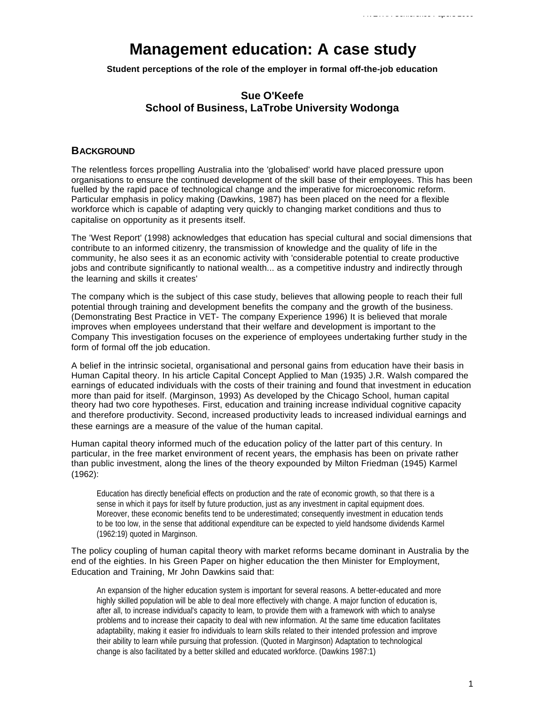# **Management education: A case study**

**Student perceptions of the role of the employer in formal off-the-job education**

## **Sue O'Keefe School of Business, LaTrobe University Wodonga**

#### **BACKGROUND**

The relentless forces propelling Australia into the 'globalised' world have placed pressure upon organisations to ensure the continued development of the skill base of their employees. This has been fuelled by the rapid pace of technological change and the imperative for microeconomic reform. Particular emphasis in policy making (Dawkins, 1987) has been placed on the need for a flexible workforce which is capable of adapting very quickly to changing market conditions and thus to capitalise on opportunity as it presents itself.

The 'West Report' (1998) acknowledges that education has special cultural and social dimensions that contribute to an informed citizenry, the transmission of knowledge and the quality of life in the community, he also sees it as an economic activity with 'considerable potential to create productive jobs and contribute significantly to national wealth... as a competitive industry and indirectly through the learning and skills it creates'

The company which is the subject of this case study, believes that allowing people to reach their full potential through training and development benefits the company and the growth of the business. (Demonstrating Best Practice in VET- The company Experience 1996) It is believed that morale improves when employees understand that their welfare and development is important to the Company This investigation focuses on the experience of employees undertaking further study in the form of formal off the job education.

A belief in the intrinsic societal, organisational and personal gains from education have their basis in Human Capital theory. In his article Capital Concept Applied to Man (1935) J.R. Walsh compared the earnings of educated individuals with the costs of their training and found that investment in education more than paid for itself. (Marginson, 1993) As developed by the Chicago School, human capital theory had two core hypotheses. First, education and training increase individual cognitive capacity and therefore productivity. Second, increased productivity leads to increased individual earnings and these earnings are a measure of the value of the human capital.

Human capital theory informed much of the education policy of the latter part of this century. In particular, in the free market environment of recent years, the emphasis has been on private rather than public investment, along the lines of the theory expounded by Milton Friedman (1945) Karmel (1962):

Education has directly beneficial effects on production and the rate of economic growth, so that there is a sense in which it pays for itself by future production, just as any investment in capital equipment does. Moreover, these economic benefits tend to be underestimated; consequently investment in education tends to be too low, in the sense that additional expenditure can be expected to yield handsome dividends Karmel (1962:19) quoted in Marginson.

The policy coupling of human capital theory with market reforms became dominant in Australia by the end of the eighties. In his Green Paper on higher education the then Minister for Employment, Education and Training, Mr John Dawkins said that:

An expansion of the higher education system is important for several reasons. A better-educated and more highly skilled population will be able to deal more effectively with change. A major function of education is, after all, to increase individual's capacity to learn, to provide them with a framework with which to analyse problems and to increase their capacity to deal with new information. At the same time education facilitates adaptability, making it easier fro individuals to learn skills related to their intended profession and improve their ability to learn while pursuing that profession. (Quoted in Marginson) Adaptation to technological change is also facilitated by a better skilled and educated workforce. (Dawkins 1987:1)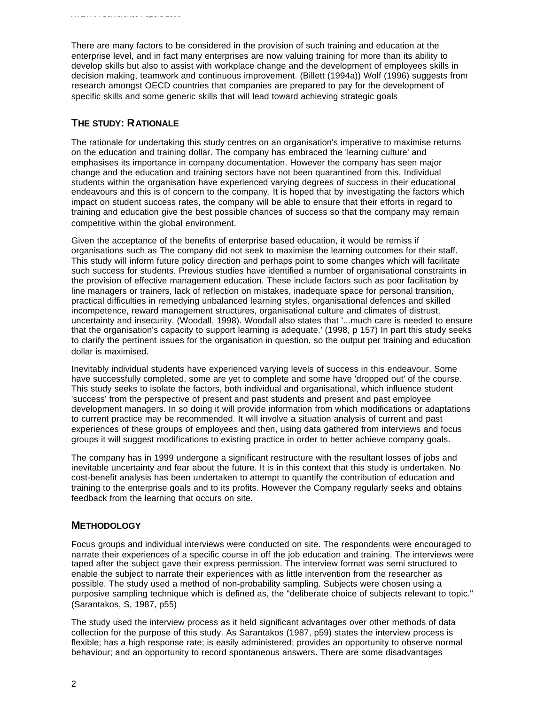There are many factors to be considered in the provision of such training and education at the enterprise level, and in fact many enterprises are now valuing training for more than its ability to develop skills but also to assist with workplace change and the development of employees skills in decision making, teamwork and continuous improvement. (Billett (1994a)) Wolf (1996) suggests from research amongst OECD countries that companies are prepared to pay for the development of specific skills and some generic skills that will lead toward achieving strategic goals

## **THE STUDY: RATIONALE**

The rationale for undertaking this study centres on an organisation's imperative to maximise returns on the education and training dollar. The company has embraced the 'learning culture' and emphasises its importance in company documentation. However the company has seen major change and the education and training sectors have not been quarantined from this. Individual students within the organisation have experienced varying degrees of success in their educational endeavours and this is of concern to the company. It is hoped that by investigating the factors which impact on student success rates, the company will be able to ensure that their efforts in regard to training and education give the best possible chances of success so that the company may remain competitive within the global environment.

Given the acceptance of the benefits of enterprise based education, it would be remiss if organisations such as The company did not seek to maximise the learning outcomes for their staff. This study will inform future policy direction and perhaps point to some changes which will facilitate such success for students. Previous studies have identified a number of organisational constraints in the provision of effective management education. These include factors such as poor facilitation by line managers or trainers, lack of reflection on mistakes, inadequate space for personal transition, practical difficulties in remedying unbalanced learning styles, organisational defences and skilled incompetence, reward management structures, organisational culture and climates of distrust, uncertainty and insecurity. (Woodall, 1998). Woodall also states that '...much care is needed to ensure that the organisation's capacity to support learning is adequate.' (1998, p 157) In part this study seeks to clarify the pertinent issues for the organisation in question, so the output per training and education dollar is maximised.

Inevitably individual students have experienced varying levels of success in this endeavour. Some have successfully completed, some are yet to complete and some have 'dropped out' of the course. This study seeks to isolate the factors, both individual and organisational, which influence student 'success' from the perspective of present and past students and present and past employee development managers. In so doing it will provide information from which modifications or adaptations to current practice may be recommended. It will involve a situation analysis of current and past experiences of these groups of employees and then, using data gathered from interviews and focus groups it will suggest modifications to existing practice in order to better achieve company goals.

The company has in 1999 undergone a significant restructure with the resultant losses of jobs and inevitable uncertainty and fear about the future. It is in this context that this study is undertaken. No cost-benefit analysis has been undertaken to attempt to quantify the contribution of education and training to the enterprise goals and to its profits. However the Company regularly seeks and obtains feedback from the learning that occurs on site.

# **METHODOLOGY**

Focus groups and individual interviews were conducted on site. The respondents were encouraged to narrate their experiences of a specific course in off the job education and training. The interviews were taped after the subject gave their express permission. The interview format was semi structured to enable the subject to narrate their experiences with as little intervention from the researcher as possible. The study used a method of non-probability sampling. Subjects were chosen using a purposive sampling technique which is defined as, the "deliberate choice of subjects relevant to topic." (Sarantakos, S, 1987, p55)

The study used the interview process as it held significant advantages over other methods of data collection for the purpose of this study. As Sarantakos (1987, p59) states the interview process is flexible; has a high response rate; is easily administered; provides an opportunity to observe normal behaviour; and an opportunity to record spontaneous answers. There are some disadvantages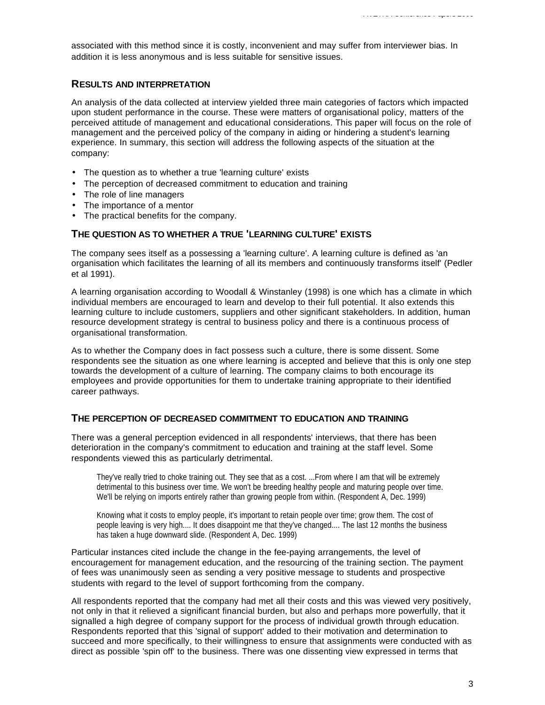associated with this method since it is costly, inconvenient and may suffer from interviewer bias. In addition it is less anonymous and is less suitable for sensitive issues.

### **RESULTS AND INTERPRETATION**

An analysis of the data collected at interview yielded three main categories of factors which impacted upon student performance in the course. These were matters of organisational policy, matters of the perceived attitude of management and educational considerations. This paper will focus on the role of management and the perceived policy of the company in aiding or hindering a student's learning experience. In summary, this section will address the following aspects of the situation at the company:

- The question as to whether a true 'learning culture' exists
- The perception of decreased commitment to education and training
- The role of line managers
- The importance of a mentor
- The practical benefits for the company.

## **THE QUESTION AS TO WHETHER A TRUE 'LEARNING CULTURE' EXISTS**

The company sees itself as a possessing a 'learning culture'. A learning culture is defined as 'an organisation which facilitates the learning of all its members and continuously transforms itself' (Pedler et al 1991).

A learning organisation according to Woodall & Winstanley (1998) is one which has a climate in which individual members are encouraged to learn and develop to their full potential. It also extends this learning culture to include customers, suppliers and other significant stakeholders. In addition, human resource development strategy is central to business policy and there is a continuous process of organisational transformation.

As to whether the Company does in fact possess such a culture, there is some dissent. Some respondents see the situation as one where learning is accepted and believe that this is only one step towards the development of a culture of learning. The company claims to both encourage its employees and provide opportunities for them to undertake training appropriate to their identified career pathways.

#### **THE PERCEPTION OF DECREASED COMMITMENT TO EDUCATION AND TRAINING**

There was a general perception evidenced in all respondents' interviews, that there has been deterioration in the company's commitment to education and training at the staff level. Some respondents viewed this as particularly detrimental.

They've really tried to choke training out. They see that as a cost. ...From where I am that will be extremely detrimental to this business over time. We won't be breeding healthy people and maturing people over time. We'll be relying on imports entirely rather than growing people from within. (Respondent A, Dec. 1999)

Knowing what it costs to employ people, it's important to retain people over time; grow them. The cost of people leaving is very high.... It does disappoint me that they've changed.... The last 12 months the business has taken a huge downward slide. (Respondent A, Dec. 1999)

Particular instances cited include the change in the fee-paying arrangements, the level of encouragement for management education, and the resourcing of the training section. The payment of fees was unanimously seen as sending a very positive message to students and prospective students with regard to the level of support forthcoming from the company.

All respondents reported that the company had met all their costs and this was viewed very positively, not only in that it relieved a significant financial burden, but also and perhaps more powerfully, that it signalled a high degree of company support for the process of individual growth through education. Respondents reported that this 'signal of support' added to their motivation and determination to succeed and more specifically, to their willingness to ensure that assignments were conducted with as direct as possible 'spin off' to the business. There was one dissenting view expressed in terms that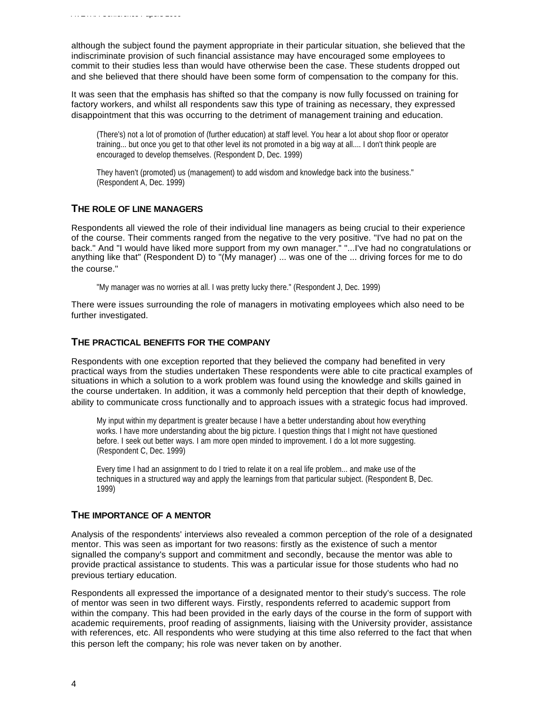although the subject found the payment appropriate in their particular situation, she believed that the indiscriminate provision of such financial assistance may have encouraged some employees to commit to their studies less than would have otherwise been the case. These students dropped out and she believed that there should have been some form of compensation to the company for this.

It was seen that the emphasis has shifted so that the company is now fully focussed on training for factory workers, and whilst all respondents saw this type of training as necessary, they expressed disappointment that this was occurring to the detriment of management training and education.

(There's) not a lot of promotion of (further education) at staff level. You hear a lot about shop floor or operator training... but once you get to that other level its not promoted in a big way at all.... I don't think people are encouraged to develop themselves. (Respondent D, Dec. 1999)

They haven't (promoted) us (management) to add wisdom and knowledge back into the business." (Respondent A, Dec. 1999)

#### **THE ROLE OF LINE MANAGERS**

Respondents all viewed the role of their individual line managers as being crucial to their experience of the course. Their comments ranged from the negative to the very positive. "I've had no pat on the back." And "I would have liked more support from my own manager." "...I've had no congratulations or anything like that" (Respondent D) to "(My manager) ... was one of the ... driving forces for me to do the course."

"My manager was no worries at all. I was pretty lucky there." (Respondent J, Dec. 1999)

There were issues surrounding the role of managers in motivating employees which also need to be further investigated.

#### **THE PRACTICAL BENEFITS FOR THE COMPANY**

Respondents with one exception reported that they believed the company had benefited in very practical ways from the studies undertaken These respondents were able to cite practical examples of situations in which a solution to a work problem was found using the knowledge and skills gained in the course undertaken. In addition, it was a commonly held perception that their depth of knowledge, ability to communicate cross functionally and to approach issues with a strategic focus had improved.

My input within my department is greater because I have a better understanding about how everything works. I have more understanding about the big picture. I question things that I might not have questioned before. I seek out better ways. I am more open minded to improvement. I do a lot more suggesting. (Respondent C, Dec. 1999)

Every time I had an assignment to do I tried to relate it on a real life problem... and make use of the techniques in a structured way and apply the learnings from that particular subject. (Respondent B, Dec. 1999)

#### **THE IMPORTANCE OF A MENTOR**

Analysis of the respondents' interviews also revealed a common perception of the role of a designated mentor. This was seen as important for two reasons: firstly as the existence of such a mentor signalled the company's support and commitment and secondly, because the mentor was able to provide practical assistance to students. This was a particular issue for those students who had no previous tertiary education.

Respondents all expressed the importance of a designated mentor to their study's success. The role of mentor was seen in two different ways. Firstly, respondents referred to academic support from within the company. This had been provided in the early days of the course in the form of support with academic requirements, proof reading of assignments, liaising with the University provider, assistance with references, etc. All respondents who were studying at this time also referred to the fact that when this person left the company; his role was never taken on by another.